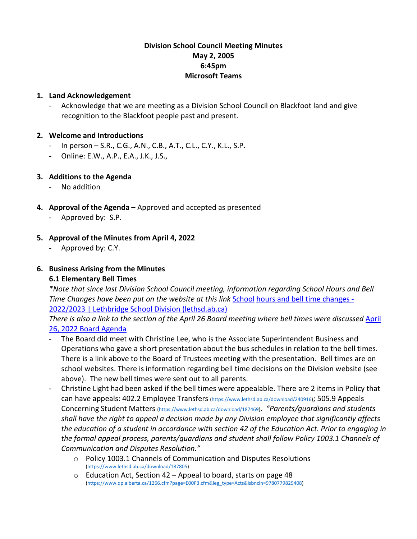## **Division School Council Meeting Minutes May 2, 2005 6:45pm Microsoft Teams**

#### **1. Land Acknowledgement**

- Acknowledge that we are meeting as a Division School Council on Blackfoot land and give recognition to the Blackfoot people past and present.

#### **2. Welcome and Introductions**

- In person S.R., C.G., A.N., C.B., A.T., C.L., C.Y., K.L., S.P.
- Online: E.W., A.P., E.A., J.K., J.S.,

# **3. Additions to the Agenda**

- No addition
- **4. Approval of the Agenda** Approved and accepted as presented
	- Approved by: S.P.

# **5. Approval of the Minutes from April 4, 2022**

Approved by: C.Y.

# **6. Business Arising from the Minutes**

## **6.1 Elementary Bell Times**

*\*Note that since last Division School Council meeting, information regarding School Hours and Bell Time Changes have been put on the website at this link [School](https://www.lethsd.ab.ca/transportation/school-hours-and-bell-time-changes-2022-2023) hours and bell time changes -*[2022/2023 | Lethbridge School Division \(lethsd.ab.ca\)](https://www.lethsd.ab.ca/transportation/school-hours-and-bell-time-changes-2022-2023)

*There is also a link to the section of the April 26 Board meeting where bell times were discussed* [April](https://www.lethsd.ab.ca/download/387329)  [26, 2022 Board Ag](https://www.lethsd.ab.ca/download/387329)enda

- The Board did meet with Christine Lee, who is the Associate Superintendent Business and Operations who gave a short presentation about the bus schedules in relation to the bell times. There is a link above to the Board of Trustees meeting with the presentation. Bell times are on school websites. There is information regarding bell time decisions on the Division website (see above). The new bell times were sent out to all parents.
- Christine Light had been asked if the bell times were appealable. There are 2 items in Policy that can have appeals: 402.2 Employee Transfers [\(https://www.lethsd.ab.ca/download/240916\);](https://www.lethsd.ab.ca/download/240916) 505.9 Appeals Concerning Student Matters [\(https://www.lethsd.ab.ca/download/187469\)](https://www.lethsd.ab.ca/download/187469). *"Parents/guardians and students shall have the right to appeal a decision made by any Division employee that significantly affects the education of a student in accordance with section 42 of the Education Act. Prior to engaging in the formal appeal process, parents/guardians and student shall follow Policy 1003.1 Channels of Communication and Disputes Resolution."* 
	- o Policy 1003.1 Channels of Communication and Disputes Resolutions [\(https://www.lethsd.ab.ca/download/187805\)](https://www.lethsd.ab.ca/download/187805)
	- o Education Act, Section 42 Appeal to board, starts on page 48 [\(https://www.qp.alberta.ca/1266.cfm?page=E00P3.cfm&leg\\_type=Acts&isbncln=9780779829408\)](https://www.qp.alberta.ca/1266.cfm?page=E00P3.cfm&leg_type=Acts&isbncln=9780779829408)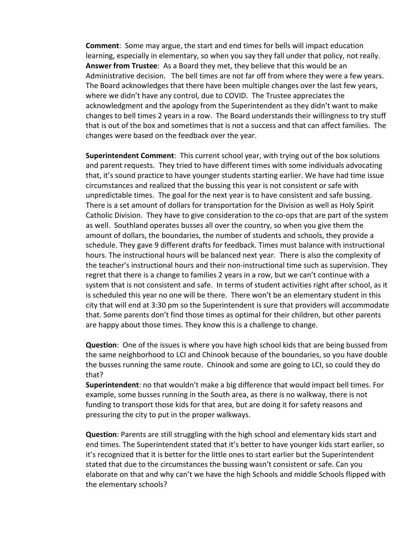**Comment**: Some may argue, the start and end times for bells will impact education learning, especially in elementary, so when you say they fall under that policy, not really. **Answer from Trustee**: As a Board they met, they believe that this would be an Administrative decision. The bell times are not far off from where they were a few years. The Board acknowledges that there have been multiple changes over the last few years, where we didn't have any control, due to COVID. The Trustee appreciates the acknowledgment and the apology from the Superintendent as they didn't want to make changes to bell times 2 years in a row. The Board understands their willingness to try stuff that is out of the box and sometimes that is not a success and that can affect families. The changes were based on the feedback over the year.

**Superintendent Comment**: This current school year, with trying out of the box solutions and parent requests. They tried to have different times with some individuals advocating that, it's sound practice to have younger students starting earlier. We have had time issue circumstances and realized that the bussing this year is not consistent or safe with unpredictable times. The goal for the next year is to have consistent and safe bussing. There is a set amount of dollars for transportation for the Division as well as Holy Spirit Catholic Division. They have to give consideration to the co-ops that are part of the system as well. Southland operates busses all over the country, so when you give them the amount of dollars, the boundaries, the number of students and schools, they provide a schedule. They gave 9 different drafts for feedback. Times must balance with instructional hours. The instructional hours will be balanced next year. There is also the complexity of the teacher's instructional hours and their non-instructional time such as supervision. They regret that there is a change to families 2 years in a row, but we can't continue with a system that is not consistent and safe. In terms of student activities right after school, as it is scheduled this year no one will be there. There won't be an elementary student in this city that will end at 3:30 pm so the Superintendent is sure that providers will accommodate that. Some parents don't find those times as optimal for their children, but other parents are happy about those times. They know this is a challenge to change.

**Question**: One of the issues is where you have high school kids that are being bussed from the same neighborhood to LCI and Chinook because of the boundaries, so you have double the busses running the same route. Chinook and some are going to LCI, so could they do that?

**Superintendent**: no that wouldn't make a big difference that would impact bell times. For example, some busses running in the South area, as there is no walkway, there is not funding to transport those kids for that area, but are doing it for safety reasons and pressuring the city to put in the proper walkways.

**Question**: Parents are still struggling with the high school and elementary kids start and end times. The Superintendent stated that it's better to have younger kids start earlier, so it's recognized that it is better for the little ones to start earlier but the Superintendent stated that due to the circumstances the bussing wasn't consistent or safe. Can you elaborate on that and why can't we have the high Schools and middle Schools flipped with the elementary schools?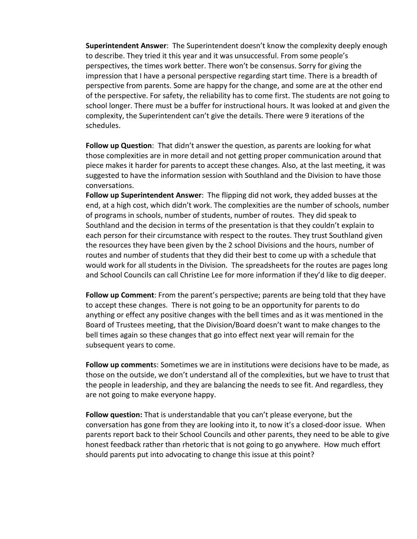**Superintendent Answer**: The Superintendent doesn't know the complexity deeply enough to describe. They tried it this year and it was unsuccessful. From some people's perspectives, the times work better. There won't be consensus. Sorry for giving the impression that I have a personal perspective regarding start time. There is a breadth of perspective from parents. Some are happy for the change, and some are at the other end of the perspective. For safety, the reliability has to come first. The students are not going to school longer. There must be a buffer for instructional hours. It was looked at and given the complexity, the Superintendent can't give the details. There were 9 iterations of the schedules.

**Follow up Question**: That didn't answer the question, as parents are looking for what those complexities are in more detail and not getting proper communication around that piece makes it harder for parents to accept these changes. Also, at the last meeting, it was suggested to have the information session with Southland and the Division to have those conversations.

**Follow up Superintendent Answer**: The flipping did not work, they added busses at the end, at a high cost, which didn't work. The complexities are the number of schools, number of programs in schools, number of students, number of routes. They did speak to Southland and the decision in terms of the presentation is that they couldn't explain to each person for their circumstance with respect to the routes. They trust Southland given the resources they have been given by the 2 school Divisions and the hours, number of routes and number of students that they did their best to come up with a schedule that would work for all students in the Division. The spreadsheets for the routes are pages long and School Councils can call Christine Lee for more information if they'd like to dig deeper.

**Follow up Comment**: From the parent's perspective; parents are being told that they have to accept these changes. There is not going to be an opportunity for parents to do anything or effect any positive changes with the bell times and as it was mentioned in the Board of Trustees meeting, that the Division/Board doesn't want to make changes to the bell times again so these changes that go into effect next year will remain for the subsequent years to come.

**Follow up comment**s: Sometimes we are in institutions were decisions have to be made, as those on the outside, we don't understand all of the complexities, but we have to trust that the people in leadership, and they are balancing the needs to see fit. And regardless, they are not going to make everyone happy.

**Follow question:** That is understandable that you can't please everyone, but the conversation has gone from they are looking into it, to now it's a closed-door issue. When parents report back to their School Councils and other parents, they need to be able to give honest feedback rather than rhetoric that is not going to go anywhere. How much effort should parents put into advocating to change this issue at this point?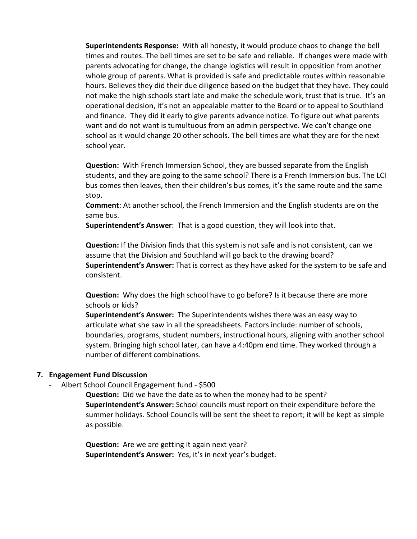**Superintendents Response:** With all honesty, it would produce chaos to change the bell times and routes. The bell times are set to be safe and reliable. If changes were made with parents advocating for change, the change logistics will result in opposition from another whole group of parents. What is provided is safe and predictable routes within reasonable hours. Believes they did their due diligence based on the budget that they have. They could not make the high schools start late and make the schedule work, trust that is true. It's an operational decision, it's not an appealable matter to the Board or to appeal to Southland and finance. They did it early to give parents advance notice. To figure out what parents want and do not want is tumultuous from an admin perspective. We can't change one school as it would change 20 other schools. The bell times are what they are for the next school year.

**Question:** With French Immersion School, they are bussed separate from the English students, and they are going to the same school? There is a French Immersion bus. The LCI bus comes then leaves, then their children's bus comes, it's the same route and the same stop.

**Comment**: At another school, the French Immersion and the English students are on the same bus.

**Superintendent's Answer**: That is a good question, they will look into that.

**Question:** If the Division finds that this system is not safe and is not consistent, can we assume that the Division and Southland will go back to the drawing board? **Superintendent's Answer:** That is correct as they have asked for the system to be safe and consistent.

**Question:** Why does the high school have to go before? Is it because there are more schools or kids?

**Superintendent's Answer:** The Superintendents wishes there was an easy way to articulate what she saw in all the spreadsheets. Factors include: number of schools, boundaries, programs, student numbers, instructional hours, aligning with another school system. Bringing high school later, can have a 4:40pm end time. They worked through a number of different combinations.

#### **7. Engagement Fund Discussion**

- Albert School Council Engagement fund - \$500

**Question:** Did we have the date as to when the money had to be spent? **Superintendent's Answer:** School councils must report on their expenditure before the summer holidays. School Councils will be sent the sheet to report; it will be kept as simple as possible.

**Question:** Are we are getting it again next year? **Superintendent's Answer:** Yes, it's in next year's budget.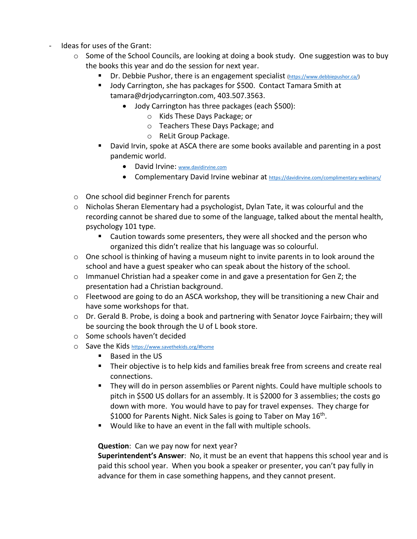- Ideas for uses of the Grant:
	- o Some of the School Councils, are looking at doing a book study. One suggestion was to buy the books this year and do the session for next year.
		- Dr. Debbie Pushor, there is an engagement specialist [\(https://www.debbiepushor.ca/\)](https://www.debbiepushor.ca/)
		- **Jody Carrington, she has packages for \$500. Contact Tamara Smith at** tamara@drjodycarrington.com, 403.507.3563.
			- Jody Carrington has three packages (each \$500):
				- o Kids These Days Package; or
				- o Teachers These Days Package; and
				- o ReLit Group Package.
		- David Irvin, spoke at ASCA there are some books available and parenting in a post pandemic world.
			- David Irvine: [www.davidirvine.com](http://www.davidirvine.com/)
			- Complementary David Irvine webinar at **https://davidirvine.com/complimentary-webinars/**
	- o One school did beginner French for parents
	- o Nicholas Sheran Elementary had a psychologist, Dylan Tate, it was colourful and the recording cannot be shared due to some of the language, talked about the mental health, psychology 101 type.
		- Caution towards some presenters, they were all shocked and the person who organized this didn't realize that his language was so colourful.
	- $\circ$  One school is thinking of having a museum night to invite parents in to look around the school and have a guest speaker who can speak about the history of the school.
	- o Immanuel Christian had a speaker come in and gave a presentation for Gen Z; the presentation had a Christian background.
	- $\circ$  Fleetwood are going to do an ASCA workshop, they will be transitioning a new Chair and have some workshops for that.
	- o Dr. Gerald B. Probe, is doing a book and partnering with Senator Joyce Fairbairn; they will be sourcing the book through the U of L book store.
	- o Some schools haven't decided
	- o Save the Kids <https://www.savethekids.org/#home>
		- Based in the US
		- **Their objective is to help kids and families break free from screens and create real** connections.
		- They will do in person assemblies or Parent nights. Could have multiple schools to pitch in \$500 US dollars for an assembly. It is \$2000 for 3 assemblies; the costs go down with more. You would have to pay for travel expenses. They charge for \$1000 for Parents Night. Nick Sales is going to Taber on May  $16<sup>th</sup>$ .
		- Would like to have an event in the fall with multiple schools.

## **Question**: Can we pay now for next year?

**Superintendent's Answer**: No, it must be an event that happens this school year and is paid this school year. When you book a speaker or presenter, you can't pay fully in advance for them in case something happens, and they cannot present.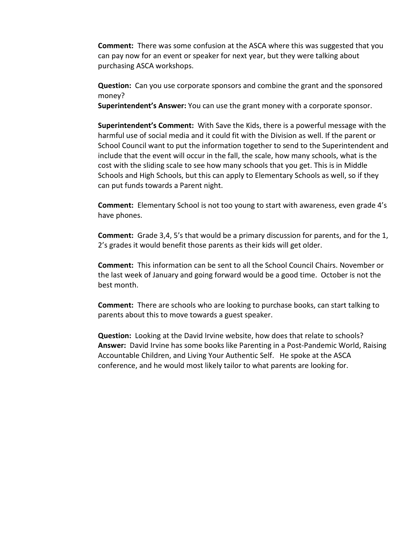**Comment:** There was some confusion at the ASCA where this was suggested that you can pay now for an event or speaker for next year, but they were talking about purchasing ASCA workshops.

**Question:** Can you use corporate sponsors and combine the grant and the sponsored money?

**Superintendent's Answer:** You can use the grant money with a corporate sponsor.

**Superintendent's Comment:** With Save the Kids, there is a powerful message with the harmful use of social media and it could fit with the Division as well. If the parent or School Council want to put the information together to send to the Superintendent and include that the event will occur in the fall, the scale, how many schools, what is the cost with the sliding scale to see how many schools that you get. This is in Middle Schools and High Schools, but this can apply to Elementary Schools as well, so if they can put funds towards a Parent night.

**Comment:** Elementary School is not too young to start with awareness, even grade 4's have phones.

**Comment:** Grade 3,4, 5's that would be a primary discussion for parents, and for the 1, 2's grades it would benefit those parents as their kids will get older.

**Comment:** This information can be sent to all the School Council Chairs. November or the last week of January and going forward would be a good time. October is not the best month.

**Comment:** There are schools who are looking to purchase books, can start talking to parents about this to move towards a guest speaker.

**Question:** Looking at the David Irvine website, how does that relate to schools? **Answer:** David Irvine has some books like Parenting in a Post-Pandemic World, Raising Accountable Children, and Living Your Authentic Self. He spoke at the ASCA conference, and he would most likely tailor to what parents are looking for.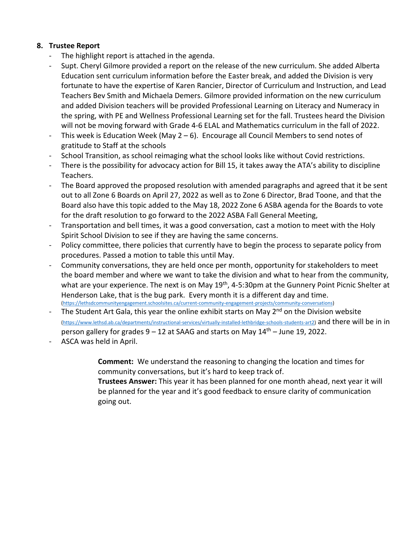## **8. Trustee Report**

- The highlight report is attached in the agenda.
- Supt. Cheryl Gilmore provided a report on the release of the new curriculum. She added Alberta Education sent curriculum information before the Easter break, and added the Division is very fortunate to have the expertise of Karen Rancier, Director of Curriculum and Instruction, and Lead Teachers Bev Smith and Michaela Demers. Gilmore provided information on the new curriculum and added Division teachers will be provided Professional Learning on Literacy and Numeracy in the spring, with PE and Wellness Professional Learning set for the fall. Trustees heard the Division will not be moving forward with Grade 4-6 ELAL and Mathematics curriculum in the fall of 2022.
- This week is Education Week (May  $2 6$ ). Encourage all Council Members to send notes of gratitude to Staff at the schools
- School Transition, as school reimaging what the school looks like without Covid restrictions.
- There is the possibility for advocacy action for Bill 15, it takes away the ATA's ability to discipline Teachers.
- The Board approved the proposed resolution with amended paragraphs and agreed that it be sent out to all Zone 6 Boards on April 27, 2022 as well as to Zone 6 Director, Brad Toone, and that the Board also have this topic added to the May 18, 2022 Zone 6 ASBA agenda for the Boards to vote for the draft resolution to go forward to the 2022 ASBA Fall General Meeting,
- Transportation and bell times, it was a good conversation, cast a motion to meet with the Holy Spirit School Division to see if they are having the same concerns.
- Policy committee, there policies that currently have to begin the process to separate policy from procedures. Passed a motion to table this until May.
- Community conversations, they are held once per month, opportunity for stakeholders to meet the board member and where we want to take the division and what to hear from the community, what are your experience. The next is on May 19<sup>th</sup>, 4-5:30pm at the Gunnery Point Picnic Shelter at Henderson Lake, that is the bug park. Every month it is a different day and time.<br>[\(https://lethsdcommunityengagement.schoolsites.ca/current-community-engagement-projects/community-conversations\)](https://lethsdcommunityengagement.schoolsites.ca/current-community-engagement-projects/community-conversations)
- The Student Art Gala, this year the online exhibit starts on May 2<sup>nd</sup> on the Division website [\(https://www.lethsd.ab.ca/departments/instructional-services/virtually-installed-lethbridge-schools-students-art2\)](https://www.lethsd.ab.ca/departments/instructional-services/virtually-installed-lethbridge-schools-students-art2) and there will be in in person gallery for grades  $9 - 12$  at SAAG and starts on May  $14<sup>th</sup>$  – June 19, 2022.
- ASCA was held in April.

**Comment:** We understand the reasoning to changing the location and times for community conversations, but it's hard to keep track of.

**Trustees Answer:** This year it has been planned for one month ahead, next year it will be planned for the year and it's good feedback to ensure clarity of communication going out.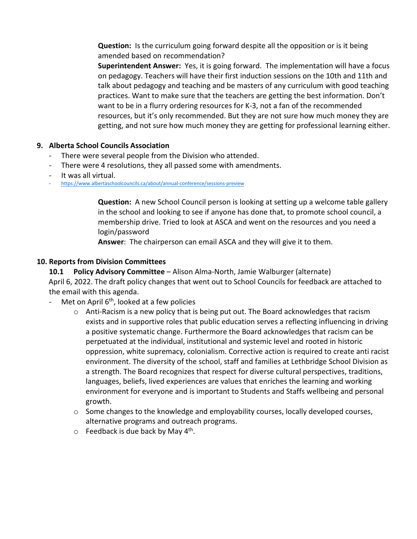**Question:** Is the curriculum going forward despite all the opposition or is it being amended based on recommendation?

**Superintendent Answer:** Yes, it is going forward. The implementation will have a focus on pedagogy. Teachers will have their first induction sessions on the 10th and 11th and talk about pedagogy and teaching and be masters of any curriculum with good teaching practices. Want to make sure that the teachers are getting the best information. Don't want to be in a flurry ordering resources for K-3, not a fan of the recommended resources, but it's only recommended. But they are not sure how much money they are getting, and not sure how much money they are getting for professional learning either.

## **9. Alberta School Councils Association**

- There were several people from the Division who attended.
- There were 4 resolutions, they all passed some with amendments.
- 
- It was all virtual.<br>https://www.albertaschoolcouncils.ca/about/annual-conference/sessions-preview

**Question:** A new School Council person is looking at setting up a welcome table gallery in the school and looking to see if anyone has done that, to promote school council, a membership drive. Tried to look at ASCA and went on the resources and you need a login/password

**Answer**: The chairperson can email ASCA and they will give it to them.

#### **10. Reports from Division Committees**

**10.1 Policy Advisory Committee** – Alison Alma-North, Jamie Walburger (alternate) April 6, 2022. The draft policy changes that went out to School Councils for feedback are attached to the email with this agenda.

- Met on April  $6<sup>th</sup>$ , looked at a few policies
	- $\circ$  Anti-Racism is a new policy that is being put out. The Board acknowledges that racism exists and in supportive roles that public education serves a reflecting influencing in driving a positive systematic change. Furthermore the Board acknowledges that racism can be perpetuated at the individual, institutional and systemic level and rooted in historic oppression, white supremacy, colonialism. Corrective action is required to create anti racist environment. The diversity of the school, staff and families at Lethbridge School Division as a strength. The Board recognizes that respect for diverse cultural perspectives, traditions, languages, beliefs, lived experiences are values that enriches the learning and working environment for everyone and is important to Students and Staffs wellbeing and personal growth.
	- o Some changes to the knowledge and employability courses, locally developed courses, alternative programs and outreach programs.
	- $\circ$  Feedback is due back by May 4<sup>th</sup>.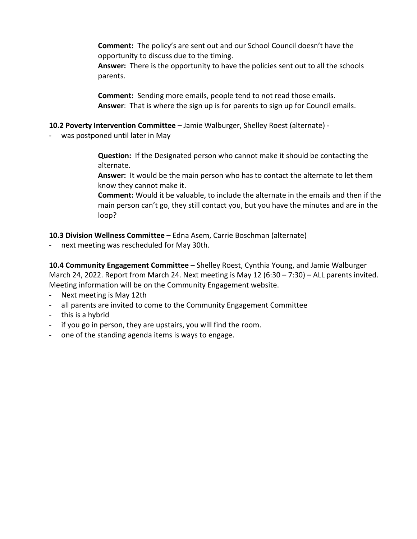**Comment:** The policy's are sent out and our School Council doesn't have the opportunity to discuss due to the timing.

**Answer:** There is the opportunity to have the policies sent out to all the schools parents.

**Comment:** Sending more emails, people tend to not read those emails. **Answer**: That is where the sign up is for parents to sign up for Council emails.

#### **10.2 Poverty Intervention Committee** – Jamie Walburger, Shelley Roest (alternate) -

was postponed until later in May

**Question:** If the Designated person who cannot make it should be contacting the alternate.

**Answer:** It would be the main person who has to contact the alternate to let them know they cannot make it.

**Comment:** Would it be valuable, to include the alternate in the emails and then if the main person can't go, they still contact you, but you have the minutes and are in the loop?

**10.3 Division Wellness Committee** – Edna Asem, Carrie Boschman (alternate)

- next meeting was rescheduled for May 30th.

**10.4 Community Engagement Committee** – Shelley Roest, Cynthia Young, and Jamie Walburger March 24, 2022. Report from March 24. Next meeting is May 12 (6:30 – 7:30) – ALL parents invited. Meeting information will be on the Community Engagement website.

- Next meeting is May 12th
- all parents are invited to come to the Community Engagement Committee
- this is a hybrid
- if you go in person, they are upstairs, you will find the room.
- one of the standing agenda items is ways to engage.